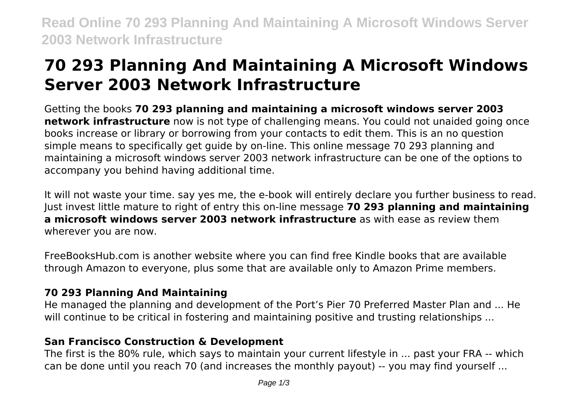**Read Online 70 293 Planning And Maintaining A Microsoft Windows Server 2003 Network Infrastructure**

# **70 293 Planning And Maintaining A Microsoft Windows Server 2003 Network Infrastructure**

Getting the books **70 293 planning and maintaining a microsoft windows server 2003 network infrastructure** now is not type of challenging means. You could not unaided going once books increase or library or borrowing from your contacts to edit them. This is an no question simple means to specifically get guide by on-line. This online message 70 293 planning and maintaining a microsoft windows server 2003 network infrastructure can be one of the options to accompany you behind having additional time.

It will not waste your time. say yes me, the e-book will entirely declare you further business to read. Just invest little mature to right of entry this on-line message **70 293 planning and maintaining a microsoft windows server 2003 network infrastructure** as with ease as review them wherever you are now.

FreeBooksHub.com is another website where you can find free Kindle books that are available through Amazon to everyone, plus some that are available only to Amazon Prime members.

# **70 293 Planning And Maintaining**

He managed the planning and development of the Port's Pier 70 Preferred Master Plan and ... He will continue to be critical in fostering and maintaining positive and trusting relationships ...

# **San Francisco Construction & Development**

The first is the 80% rule, which says to maintain your current lifestyle in ... past your FRA -- which can be done until you reach 70 (and increases the monthly payout) -- you may find yourself ...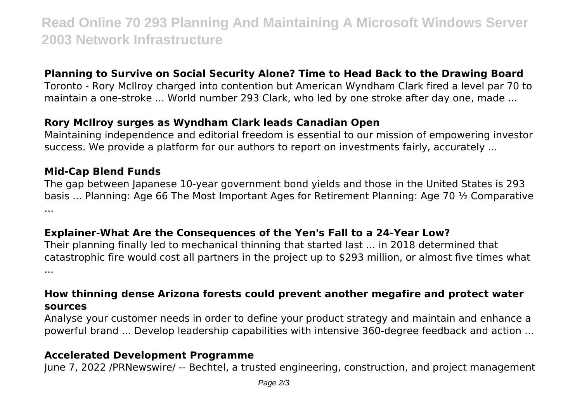# **Read Online 70 293 Planning And Maintaining A Microsoft Windows Server 2003 Network Infrastructure**

# **Planning to Survive on Social Security Alone? Time to Head Back to the Drawing Board**

Toronto - Rory McIlroy charged into contention but American Wyndham Clark fired a level par 70 to maintain a one-stroke ... World number 293 Clark, who led by one stroke after day one, made ...

# **Rory McIlroy surges as Wyndham Clark leads Canadian Open**

Maintaining independence and editorial freedom is essential to our mission of empowering investor success. We provide a platform for our authors to report on investments fairly, accurately ...

#### **Mid-Cap Blend Funds**

The gap between Japanese 10-year government bond yields and those in the United States is 293 basis ... Planning: Age 66 The Most Important Ages for Retirement Planning: Age 70 ½ Comparative ...

#### **Explainer-What Are the Consequences of the Yen's Fall to a 24-Year Low?**

Their planning finally led to mechanical thinning that started last ... in 2018 determined that catastrophic fire would cost all partners in the project up to \$293 million, or almost five times what ...

#### **How thinning dense Arizona forests could prevent another megafire and protect water sources**

Analyse your customer needs in order to define your product strategy and maintain and enhance a powerful brand ... Develop leadership capabilities with intensive 360-degree feedback and action ...

### **Accelerated Development Programme**

June 7, 2022 /PRNewswire/ -- Bechtel, a trusted engineering, construction, and project management